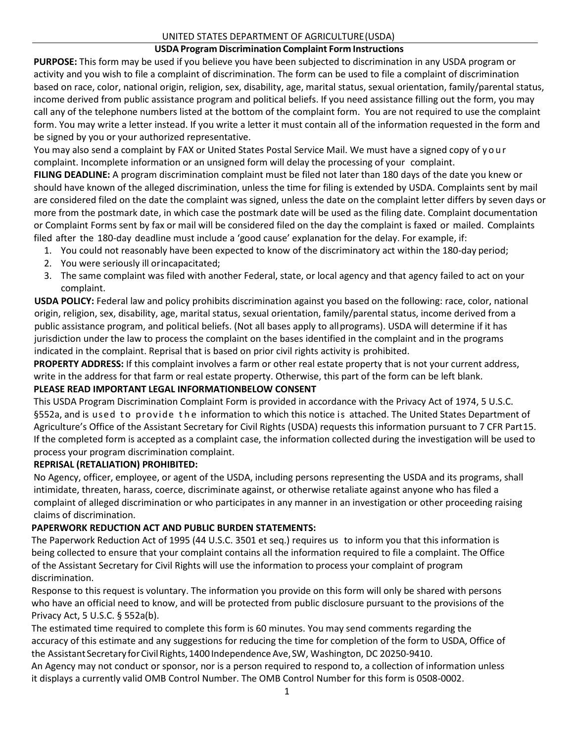#### UNITED STATES DEPARTMENT OF AGRICULTURE(USDA)

# **USDA Program Discrimination Complaint Form Instructions**

**PURPOSE:** This form may be used if you believe you have been subjected to discrimination in any USDA program or activity and you wish to file a complaint of discrimination. The form can be used to file a complaint of discrimination based on race, color, national origin, religion, sex, disability, age, marital status, sexual orientation, family/parental status, income derived from public assistance program and political beliefs. If you need assistance filling out the form, you may call any of the telephone numbers listed at the bottom of the complaint form. You are not required to use the complaint form. You may write a letter instead. If you write a letter it must contain all of the information requested in the form and be signed by you or your authorized representative.

You may also send a complaint by FAX or United States Postal Service Mail. We must have a signed copy of your complaint. Incomplete information or an unsigned form will delay the processing of your complaint.

**FILING DEADLINE:** A program discrimination complaint must be filed not later than 180 days of the date you knew or should have known of the alleged discrimination, unless the time for filing is extended by USDA. Complaints sent by mail are considered filed on the date the complaint was signed, unless the date on the complaint letter differs by seven days or more from the postmark date, in which case the postmark date will be used as the filing date. Complaint documentation or Complaint Forms sent by fax or mail will be considered filed on the day the complaint is faxed or mailed. Complaints filed after the 180-day deadline must include a 'good cause' explanation for the delay. For example, if:

- 1. You could not reasonably have been expected to know of the discriminatory act within the 180-day period;
- 2. You were seriously ill orincapacitated;
- 3. The same complaint was filed with another Federal, state, or local agency and that agency failed to act on your complaint.

**USDA POLICY:** Federal law and policy prohibits discrimination against you based on the following: race, color, national origin, religion, sex, disability, age, marital status, sexual orientation, family/parental status, income derived from a public assistance program, and political beliefs. (Not all bases apply to allprograms). USDA will determine if it has jurisdiction under the law to process the complaint on the bases identified in the complaint and in the programs indicated in the complaint. Reprisal that is based on prior civil rights activity is prohibited.

**PROPERTY ADDRESS:** If this complaint involves a farm or other real estate property that is not your current address, write in the address for that farm or real estate property. Otherwise, this part of the form can be left blank.

# **PLEASE READ IMPORTANT LEGAL INFORMATIONBELOW CONSENT**

This USDA Program Discrimination Complaint Form is provided in accordance with the Privacy Act of 1974, 5 U.S.C. §552a, and is used to provide the information to which this notice is attached. The United States Department of Agriculture's Office of the Assistant Secretary for Civil Rights (USDA) requests this information pursuant to 7 CFR Part15. If the completed form is accepted as a complaint case, the information collected during the investigation will be used to process your program discrimination complaint.

# **REPRISAL (RETALIATION) PROHIBITED:**

No Agency, officer, employee, or agent of the USDA, including persons representing the USDA and its programs, shall intimidate, threaten, harass, coerce, discriminate against, or otherwise retaliate against anyone who has filed a complaint of alleged discrimination or who participates in any manner in an investigation or other proceeding raising claims of discrimination.

# **PAPERWORK REDUCTION ACT AND PUBLIC BURDEN STATEMENTS:**

The Paperwork Reduction Act of 1995 (44 U.S.C. 3501 et seq.) requires us to inform you that this information is being collected to ensure that your complaint contains all the information required to file a complaint. The Office of the Assistant Secretary for Civil Rights will use the information to process your complaint of program discrimination.

Response to this request is voluntary. The information you provide on this form will only be shared with persons who have an official need to know, and will be protected from public disclosure pursuant to the provisions of the Privacy Act, 5 U.S.C. § 552a(b).

The estimated time required to complete this form is 60 minutes. You may send comments regarding the accuracy of this estimate and any suggestions for reducing the time for completion of the form to USDA, Office of the Assistant Secretary for Civil Rights, 1400 Independence Ave, SW, Washington, DC 20250-9410.

An Agency may not conduct or sponsor, nor is a person required to respond to, a collection of information unless it displays a currently valid OMB Control Number. The OMB Control Number for this form is 0508-0002.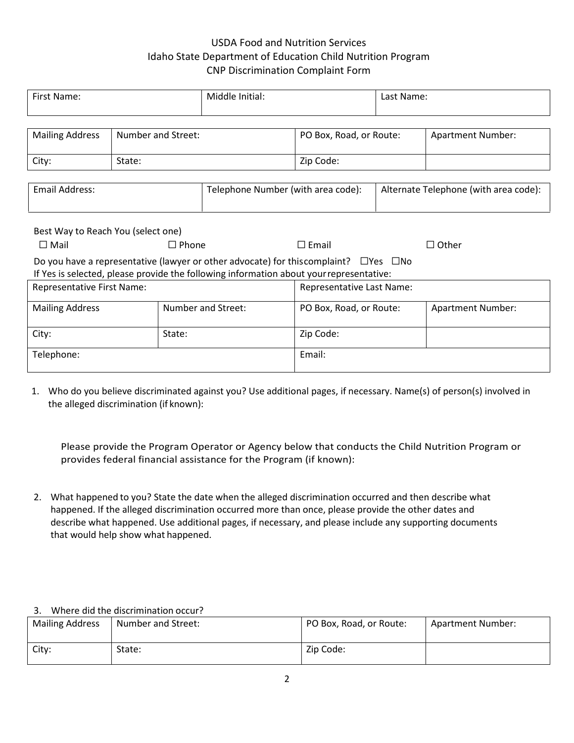# USDA Food and Nutrition Services Idaho State Department of Education Child Nutrition Program CNP Discrimination Complaint Form

| First Name:                                                                             |                    | Middle Initial:                                                                                        |                         | Last Name:                            |  |                          |  |
|-----------------------------------------------------------------------------------------|--------------------|--------------------------------------------------------------------------------------------------------|-------------------------|---------------------------------------|--|--------------------------|--|
|                                                                                         |                    |                                                                                                        |                         |                                       |  |                          |  |
| <b>Mailing Address</b>                                                                  | Number and Street: |                                                                                                        |                         | PO Box, Road, or Route:               |  | <b>Apartment Number:</b> |  |
|                                                                                         |                    |                                                                                                        |                         |                                       |  |                          |  |
| City:                                                                                   | State:             |                                                                                                        |                         | Zip Code:                             |  |                          |  |
|                                                                                         |                    |                                                                                                        |                         |                                       |  |                          |  |
| Email Address:                                                                          |                    | Telephone Number (with area code):                                                                     |                         | Alternate Telephone (with area code): |  |                          |  |
|                                                                                         |                    |                                                                                                        |                         |                                       |  |                          |  |
|                                                                                         |                    |                                                                                                        |                         |                                       |  |                          |  |
| Best Way to Reach You (select one)                                                      |                    |                                                                                                        |                         |                                       |  |                          |  |
| $\Box$ Mail                                                                             | $\Box$ Phone       |                                                                                                        |                         | $\Box$ Email                          |  | $\Box$ Other             |  |
|                                                                                         |                    | Do you have a representative (lawyer or other advocate) for this complaint? $\square$ Yes $\square$ No |                         |                                       |  |                          |  |
| If Yes is selected, please provide the following information about your representative: |                    |                                                                                                        |                         |                                       |  |                          |  |
| Representative First Name:                                                              |                    |                                                                                                        |                         | Representative Last Name:             |  |                          |  |
|                                                                                         |                    | <b>Number and Street:</b>                                                                              | PO Box, Road, or Route: |                                       |  |                          |  |
| <b>Mailing Address</b>                                                                  |                    |                                                                                                        |                         |                                       |  | <b>Apartment Number:</b> |  |
| City:<br>State:                                                                         |                    | Zip Code:                                                                                              |                         |                                       |  |                          |  |
|                                                                                         |                    |                                                                                                        |                         |                                       |  |                          |  |
| Telephone:                                                                              |                    |                                                                                                        |                         | Email:                                |  |                          |  |
|                                                                                         |                    |                                                                                                        |                         |                                       |  |                          |  |

1. Who do you believe discriminated against you? Use additional pages, if necessary. Name(s) of person(s) involved in the alleged discrimination (if known):

Please provide the Program Operator or Agency below that conducts the Child Nutrition Program or provides federal financial assistance for the Program (if known):

2. What happened to you? State the date when the alleged discrimination occurred and then describe what happened. If the alleged discrimination occurred more than once, please provide the other dates and describe what happened. Use additional pages, if necessary, and please include any supporting documents that would help show what happened.

#### 3. Where did the discrimination occur?

| <b>Mailing Address</b> | Number and Street: | PO Box, Road, or Route: | Apartment Number: |
|------------------------|--------------------|-------------------------|-------------------|
| City:                  | State:             | Zip Code:               |                   |